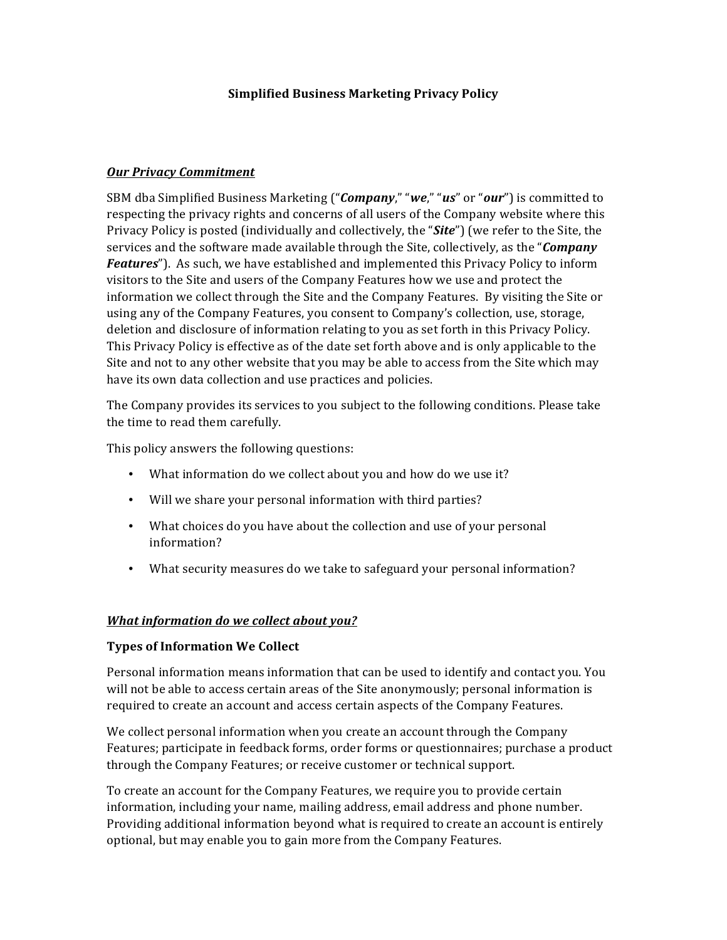#### **Simplified Business Marketing Privacy Policy**

#### *Our Privacy Commitment*

SBM dba Simplified Business Marketing ("*Company*," "we," "us" or "our") is committed to respecting the privacy rights and concerns of all users of the Company website where this Privacy Policy is posted (individually and collectively, the "*Site*") (we refer to the Site, the services and the software made available through the Site, collectively, as the "*Company Features*"). As such, we have established and implemented this Privacy Policy to inform visitors to the Site and users of the Company Features how we use and protect the information we collect through the Site and the Company Features. By visiting the Site or using any of the Company Features, you consent to Company's collection, use, storage, deletion and disclosure of information relating to you as set forth in this Privacy Policy. This Privacy Policy is effective as of the date set forth above and is only applicable to the Site and not to any other website that you may be able to access from the Site which may have its own data collection and use practices and policies.

The Company provides its services to you subject to the following conditions. Please take the time to read them carefully.

This policy answers the following questions:

- What information do we collect about you and how do we use it?
- Will we share your personal information with third parties?
- What choices do you have about the collection and use of your personal information?
- What security measures do we take to safeguard your personal information?

#### *What information do we collect about you?*

#### **Types of Information We Collect**

Personal information means information that can be used to identify and contact you. You will not be able to access certain areas of the Site anonymously; personal information is required to create an account and access certain aspects of the Company Features.

We collect personal information when you create an account through the Company Features; participate in feedback forms, order forms or questionnaires; purchase a product through the Company Features; or receive customer or technical support.

To create an account for the Company Features, we require you to provide certain information, including your name, mailing address, email address and phone number. Providing additional information beyond what is required to create an account is entirely optional, but may enable you to gain more from the Company Features.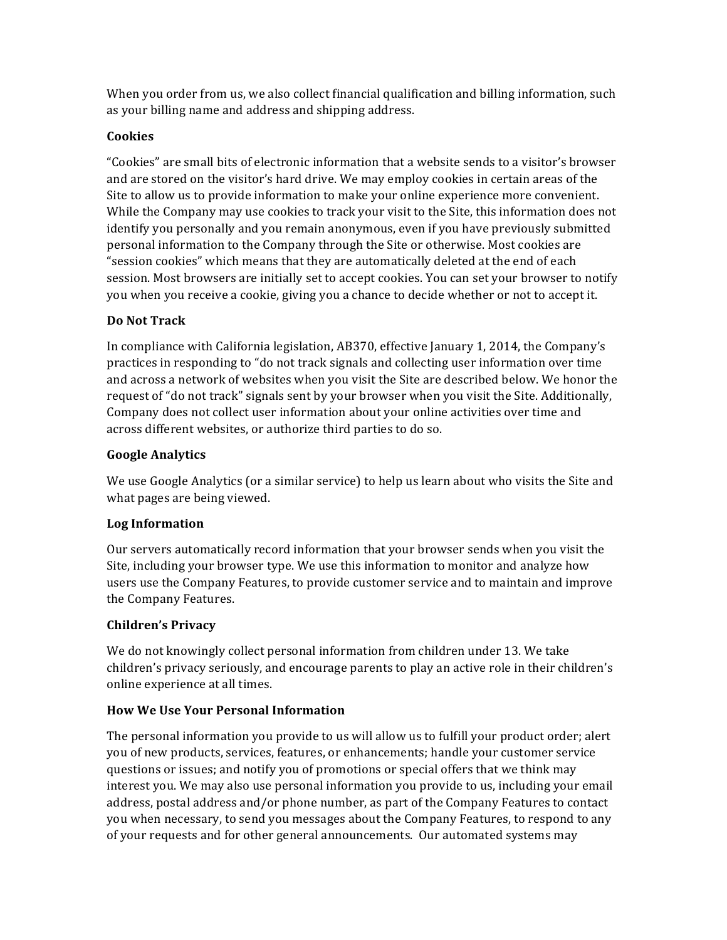When you order from us, we also collect financial qualification and billing information, such as your billing name and address and shipping address.

# **Cookies**

"Cookies" are small bits of electronic information that a website sends to a visitor's browser and are stored on the visitor's hard drive. We may employ cookies in certain areas of the Site to allow us to provide information to make your online experience more convenient. While the Company may use cookies to track your visit to the Site, this information does not identify you personally and you remain anonymous, even if you have previously submitted personal information to the Company through the Site or otherwise. Most cookies are "session cookies" which means that they are automatically deleted at the end of each session. Most browsers are initially set to accept cookies. You can set your browser to notify you when you receive a cookie, giving you a chance to decide whether or not to accept it.

# **Do Not Track**

In compliance with California legislation, AB370, effective January 1, 2014, the Company's practices in responding to "do not track signals and collecting user information over time and across a network of websites when you visit the Site are described below. We honor the request of "do not track" signals sent by your browser when you visit the Site. Additionally, Company does not collect user information about your online activities over time and across different websites, or authorize third parties to do so.

# **Google Analytics**

We use Google Analytics (or a similar service) to help us learn about who visits the Site and what pages are being viewed.

### **Log Information**

Our servers automatically record information that your browser sends when you visit the Site, including your browser type. We use this information to monitor and analyze how users use the Company Features, to provide customer service and to maintain and improve the Company Features.

### **Children's Privacy**

We do not knowingly collect personal information from children under 13. We take children's privacy seriously, and encourage parents to play an active role in their children's online experience at all times.

# **How We Use Your Personal Information**

The personal information you provide to us will allow us to fulfill your product order; alert you of new products, services, features, or enhancements; handle your customer service questions or issues; and notify you of promotions or special offers that we think may interest you. We may also use personal information you provide to us, including your email address, postal address and/or phone number, as part of the Company Features to contact you when necessary, to send you messages about the Company Features, to respond to any of your requests and for other general announcements. Our automated systems may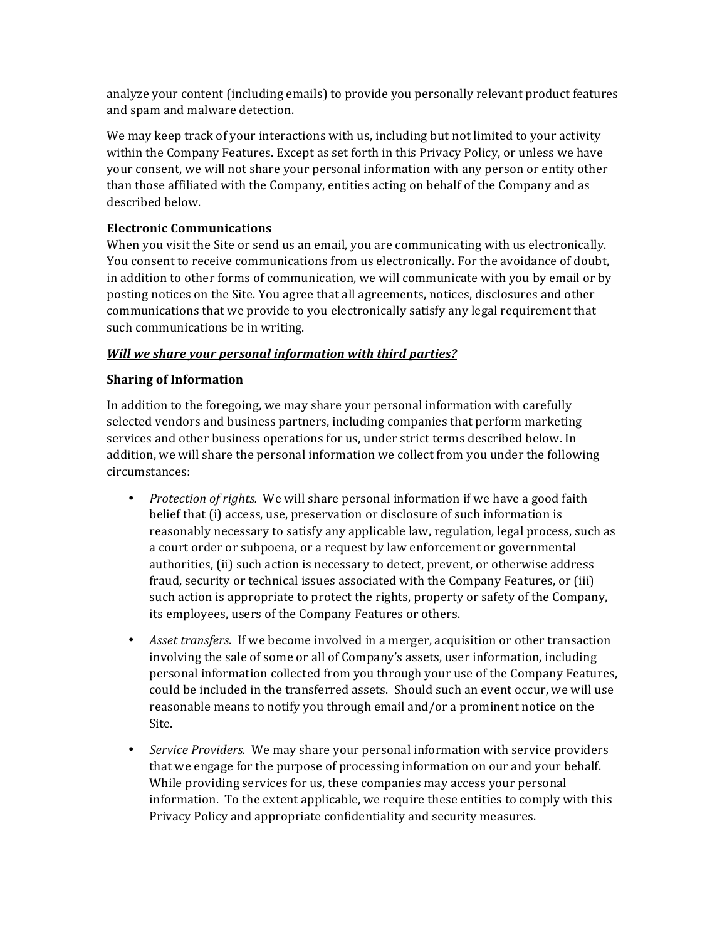analyze your content (including emails) to provide you personally relevant product features and spam and malware detection.

We may keep track of your interactions with us, including but not limited to your activity within the Company Features. Except as set forth in this Privacy Policy, or unless we have your consent, we will not share your personal information with any person or entity other than those affiliated with the Company, entities acting on behalf of the Company and as described below.

### **Electronic Communications**

When you visit the Site or send us an email, you are communicating with us electronically. You consent to receive communications from us electronically. For the avoidance of doubt, in addition to other forms of communication, we will communicate with you by email or by posting notices on the Site. You agree that all agreements, notices, disclosures and other communications that we provide to you electronically satisfy any legal requirement that such communications be in writing.

### *Will* we share your personal information with third parties?

# **Sharing of Information**

In addition to the foregoing, we may share your personal information with carefully selected vendors and business partners, including companies that perform marketing services and other business operations for us, under strict terms described below. In addition, we will share the personal information we collect from you under the following circumstances:

- *Protection of rights.* We will share personal information if we have a good faith belief that (i) access, use, preservation or disclosure of such information is reasonably necessary to satisfy any applicable law, regulation, legal process, such as a court order or subpoena, or a request by law enforcement or governmental authorities, (ii) such action is necessary to detect, prevent, or otherwise address fraud, security or technical issues associated with the Company Features, or (iii) such action is appropriate to protect the rights, property or safety of the Company, its employees, users of the Company Features or others.
- *Asset transfers.* If we become involved in a merger, acquisition or other transaction involving the sale of some or all of Company's assets, user information, including personal information collected from you through your use of the Company Features, could be included in the transferred assets. Should such an event occur, we will use reasonable means to notify you through email and/or a prominent notice on the Site.
- *Service Providers.* We may share your personal information with service providers that we engage for the purpose of processing information on our and your behalf. While providing services for us, these companies may access your personal information. To the extent applicable, we require these entities to comply with this Privacy Policy and appropriate confidentiality and security measures.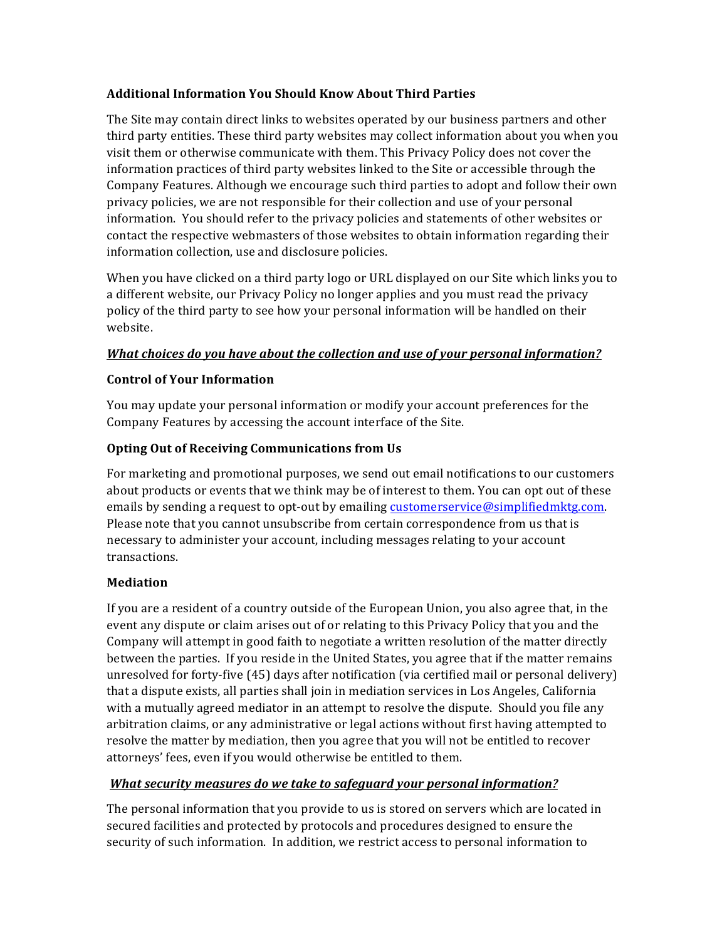### **Additional Information You Should Know About Third Parties**

The Site may contain direct links to websites operated by our business partners and other third party entities. These third party websites may collect information about you when you visit them or otherwise communicate with them. This Privacy Policy does not cover the information practices of third party websites linked to the Site or accessible through the Company Features. Although we encourage such third parties to adopt and follow their own privacy policies, we are not responsible for their collection and use of your personal information. You should refer to the privacy policies and statements of other websites or contact the respective webmasters of those websites to obtain information regarding their information collection, use and disclosure policies.

When you have clicked on a third party logo or URL displayed on our Site which links you to a different website, our Privacy Policy no longer applies and you must read the privacy policy of the third party to see how your personal information will be handled on their website.

# *What choices do you have about the collection and use of your personal information?*

### **Control of Your Information**

You may update your personal information or modify your account preferences for the Company Features by accessing the account interface of the Site.

# **Opting Out of Receiving Communications from Us**

For marketing and promotional purposes, we send out email notifications to our customers about products or events that we think may be of interest to them. You can opt out of these emails by sending a request to opt-out by emailing customerservice@simplifiedmktg.com. Please note that you cannot unsubscribe from certain correspondence from us that is necessary to administer your account, including messages relating to your account transactions.

### **Mediation**

If you are a resident of a country outside of the European Union, you also agree that, in the event any dispute or claim arises out of or relating to this Privacy Policy that you and the Company will attempt in good faith to negotiate a written resolution of the matter directly between the parties. If you reside in the United States, you agree that if the matter remains unresolved for forty-five  $(45)$  days after notification (via certified mail or personal delivery) that a dispute exists, all parties shall join in mediation services in Los Angeles, California with a mutually agreed mediator in an attempt to resolve the dispute. Should you file any arbitration claims, or any administrative or legal actions without first having attempted to resolve the matter by mediation, then you agree that you will not be entitled to recover attorneys' fees, even if you would otherwise be entitled to them.

### *What security measures do we take to safeguard your personal information?*

The personal information that you provide to us is stored on servers which are located in secured facilities and protected by protocols and procedures designed to ensure the security of such information. In addition, we restrict access to personal information to